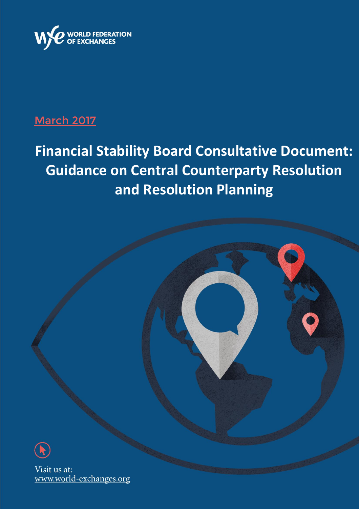

## **March 2017**

# **Financial Stability Board Consultative Document: Guidance on Central Counterparty Resolution and Resolution Planning**

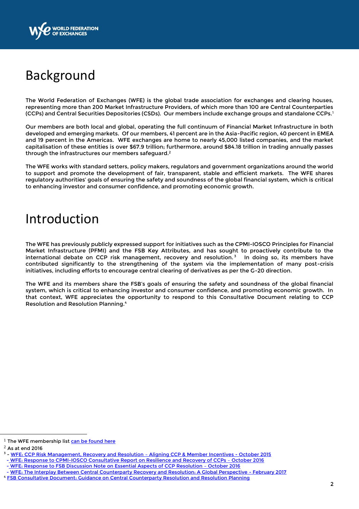

# Background

The World Federation of Exchanges (WFE) is the global trade association for exchanges and clearing houses, representing more than 200 Market Infrastructure Providers, of which more than 100 are Central Counterparties (CCPs) and Central Securities Depositories (CSDs). Our members include exchange groups and standalone CCPs. $^{\rm l}$ 

Our members are both local and global, operating the full continuum of Financial Market Infrastructure in both developed and emerging markets. Of our members, 41 percent are in the Asia-Pacific region, 40 percent in EMEA and 19 percent in the Americas. WFE exchanges are home to nearly 45,000 listed companies, and the market capitalisation of these entities is over \$67.9 trillion; furthermore, around \$84.18 trillion in trading annually passes through the infrastructures our members safeguard.<sup>2</sup>

The WFE works with standard setters, policy makers, regulators and government organizations around the world to support and promote the development of fair, transparent, stable and efficient markets. The WFE shares regulatory authorities' goals of ensuring the safety and soundness of the global financial system, which is critical to enhancing investor and consumer confidence, and promoting economic growth.

# Introduction

The WFE has previously publicly expressed support for initiatives such as the CPMI-IOSCO Principles for Financial Market Infrastructure (PFMI) and the FSB Key Attributes, and has sought to proactively contribute to the international debate on CCP risk management, recovery and resolution. <sup>3</sup> In doing so, its members have contributed significantly to the strengthening of the system via the implementation of many post-crisis initiatives, including efforts to encourage central clearing of derivatives as per the G-20 direction.

The WFE and its members share the FSB's goals of ensuring the safety and soundness of the global financial system, which is critical to enhancing investor and consumer confidence, and promoting economic growth. In that context, WFE appreciates the opportunity to respond to this Consultative Document relating to CCP Resolution and Resolution Planning.<sup>4</sup>

 $\overline{a}$ 

 $1$  The WFE membership list [can be found here](http://www.world-exchanges.org/home/index.php/members/wfe-members)

 $2$  As at end 2016

<sup>&</sup>lt;sup>3</sup> - [WFE: CCP Risk Management, Recovery and Resolution](http://www.world-exchanges.org/home/index.php/files/49/Recent%20Publications%202015/304/CCP%20Risk%20Management%20Recovery%20&%20Resolution%20%E2%80%93%20Aligning%20CCP%20&%20Member%20Incentives.pdf) - Aligning CCP & Member Incentives - October 2015

 <sup>-</sup> WFE: [Response to CPMI-IOSCO Consultative Report on Resilience and Recovery of CCPs](http://www.world-exchanges.org/home/index.php/files/47/Recent%20Publications%202016/372/WFE%20Response%20to%20CPMI-IOSCO%20Consultative%20Report%20Resilience%20and%20Recovery%20of%20CCPs%20%E2%80%93%20further%20guidance%20on%20the%20PFMI%20-%2018%20October%202016.pdf) – October 2016

 <sup>-</sup> WFE: [Response to FSB Discussion Note on Essential Aspects of CCP Resolution](http://www.world-exchanges.org/home/index.php/files/47/Recent%20Publications%202016/371/WFE%20Response%20to%20FSB%20Discussion%20Note%20-%20Essential%20Aspects%20of%20CCP%20Resolution%20-%2017%20October%202016.pdf) – October 2016

 <sup>-</sup> [WFE: The Interplay Between Central Counterparty Recovery and Resolution: A Global Perspective -](http://www.world-exchanges.org/home/index.php/files/51/Recent%20Publications%202017/385/WFE%20CCP%20Recovery%20and%20Resolution%20White%20Paper%20-%2007%20February%202017.pdf) February 2017

<sup>4</sup> [FSB Consultative Document: Guidance on Central Counterparty Resolution and Resolution Planning](http://www.fsb.org/wp-content/uploads/Guidance-on-Central-Counterparty-Resolution-and-Resolution-Planning.pdf)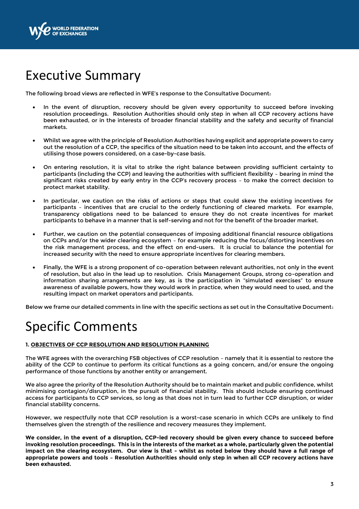

# Executive Summary

The following broad views are reflected in WFE's response to the Consultative Document:

- In the event of disruption, recovery should be given every opportunity to succeed before invoking resolution proceedings. Resolution Authorities should only step in when all CCP recovery actions have been exhausted, or in the interests of broader financial stability and the safety and security of financial markets.
- Whilst we agree with the principle of Resolution Authorities having explicit and appropriate powers to carry out the resolution of a CCP, the specifics of the situation need to be taken into account, and the effects of utilising those powers considered, on a case-by-case basis.
- On entering resolution, it is vital to strike the right balance between providing sufficient certainty to participants (including the CCP) and leaving the authorities with sufficient flexibility – bearing in mind the significant risks created by early entry in the CCP's recovery process – to make the correct decision to protect market stability.
- In particular, we caution on the risks of actions or steps that could skew the existing incentives for participants – incentives that are crucial to the orderly functioning of cleared markets. For example, transparency obligations need to be balanced to ensure they do not create incentives for market participants to behave in a manner that is self-serving and not for the benefit of the broader market.
- Further, we caution on the potential consequences of imposing additional financial resource obligations on CCPs and/or the wider clearing ecosystem – for example reducing the focus/distorting incentives on the risk management process, and the effect on end-users. It is crucial to balance the potential for increased security with the need to ensure appropriate incentives for clearing members.
- Finally, the WFE is a strong proponent of co-operation between relevant authorities, not only in the event of resolution, but also in the lead up to resolution. Crisis Management Groups, strong co-operation and information sharing arrangements are key, as is the participation in "simulated exercises" to ensure awareness of available powers, how they would work in practice, when they would need to used, and the resulting impact on market operators and participants.

Below we frame our detailed comments in line with the specific sections as set out in the Consultative Document:

# Specific Comments

### **1. OBJECTIVES OF CCP RESOLUTION AND RESOLUTION PLANNING**

The WFE agrees with the overarching FSB objectives of CCP resolution – namely that it is essential to restore the ability of the CCP to continue to perform its critical functions as a going concern, and/or ensure the ongoing performance of those functions by another entity or arrangement.

We also agree the priority of the Resolution Authority should be to maintain market and public confidence, whilst minimising contagion/disruption, in the pursuit of financial stability. This should include ensuring continued access for participants to CCP services, so long as that does not in turn lead to further CCP disruption, or wider financial stability concerns.

However, we respectfully note that CCP resolution is a worst-case scenario in which CCPs are unlikely to find themselves given the strength of the resilience and recovery measures they implement.

**We consider, in the event of a disruption, CCP-led recovery should be given every chance to succeed before invoking resolution proceedings. This is in the interests of the market as a whole, particularly given the potential impact on the clearing ecosystem. Our view is that - whilst as noted below they should have a full range of appropriate powers and tools – Resolution Authorities should only step in when all CCP recovery actions have been exhausted.**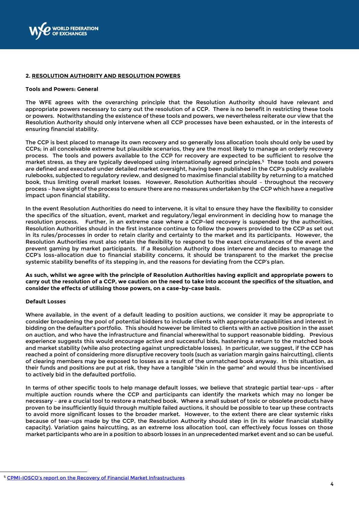

#### **2. RESOLUTION AUTHORITY AND RESOLUTION POWERS**

#### **Tools and Powers: General**

The WFE agrees with the overarching principle that the Resolution Authority should have relevant and appropriate powers necessary to carry out the resolution of a CCP. There is no benefit in restricting these tools or powers. Notwithstanding the existence of these tools and powers, we nevertheless reiterate our view that the Resolution Authority should only intervene when all CCP processes have been exhausted, or in the interests of ensuring financial stability.

The CCP is best placed to manage its own recovery and so generally loss allocation tools should only be used by CCPs; in all conceivable extreme but plausible scenarios, they are the most likely to manage an orderly recovery process. The tools and powers available to the CCP for recovery are expected to be sufficient to resolve the market stress, as they are typically developed using internationally agreed principles. 5 These tools and powers are defined and executed under detailed market oversight, having been published in the CCP's publicly available rulebooks, subjected to regulatory review, and designed to maximise financial stability by returning to a matched book, thus limiting overall market losses. However, Resolution Authorities should – throughout the recovery process – have sight of the process to ensure there are no measures undertaken by the CCP which have a negative impact upon financial stability.

In the event Resolution Authorities do need to intervene, it is vital to ensure they have the flexibility to consider the specifics of the situation, event, market and regulatory/legal environment in deciding how to manage the resolution process. Further, in an extreme case where a CCP-led recovery is suspended by the authorities, Resolution Authorities should in the first instance continue to follow the powers provided to the CCP as set out in its rules/processes in order to retain clarity and certainty to the market and its participants. However, the Resolution Authorities must also retain the flexibility to respond to the exact circumstances of the event and prevent gaming by market participants. If a Resolution Authority does intervene and decides to manage the CCP's loss-allocation due to financial stability concerns, it should be transparent to the market the precise systemic stability benefits of its stepping in, and the reasons for deviating from the CCP's plan.

**As such, whilst we agree with the principle of Resolution Authorities having explicit and appropriate powers to carry out the resolution of a CCP, we caution on the need to take into account the specifics of the situation, and consider the effects of utilising those powers, on a case-by-case basis**.

#### **Default Losses**

 $\overline{a}$ 

Where available, in the event of a default leading to position auctions, we consider it may be appropriate to consider broadening the pool of potential bidders to include clients with appropriate capabilities and interest in bidding on the defaulter's portfolio. This should however be limited to clients with an active position in the asset on auction, and who have the infrastructure and financial wherewithal to support reasonable bidding. Previous experience suggests this would encourage active and successful bids, hastening a return to the matched book and market stability (while also protecting against unpredictable losses). In particular, we suggest, if the CCP has reached a point of considering more disruptive recovery tools (such as variation margin gains haircutting), clients of clearing members may be exposed to losses as a result of the unmatched book anyway. In this situation, as their funds and positions are put at risk, they have a tangible "skin in the game" and would thus be incentivised to actively bid in the defaulted portfolio.

In terms of other specific tools to help manage default losses, we believe that strategic partial tear-ups – after multiple auction rounds where the CCP and participants can identify the markets which may no longer be necessary – are a crucial tool to restore a matched book. Where a small subset of toxic or obsolete products have proven to be insufficiently liquid through multiple failed auctions, it should be possible to tear up these contracts to avoid more significant losses to the broader market. However, to the extent there are clear systemic risks because of tear-ups made by the CCP, the Resolution Authority should step in (in its wider financial stability capacity). Variation gains haircutting, as an extreme loss allocation tool, can effectively focus losses on those market participants who are in a position to absorb losses in an unprecedented market event and so can be useful.

<sup>&</sup>lt;sup>5</sup> CPMI-[IOSCO's report on the Recovery of Financial Market Infrastructures](http://www.bis.org/cpmi/publ/d121.pdf)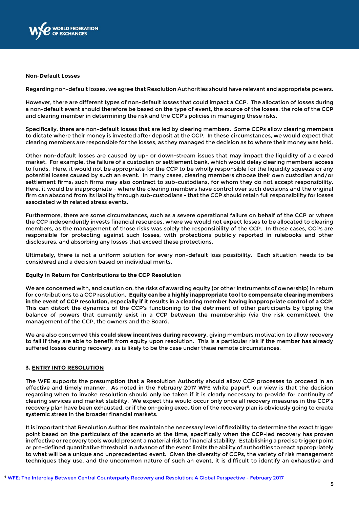

#### **Non-Default Losses**

Regarding non-default losses, we agree that Resolution Authorities should have relevant and appropriate powers.

However, there are different types of non-default losses that could impact a CCP. The allocation of losses during a non-default event should therefore be based on the type of event, the source of the losses, the role of the CCP and clearing member in determining the risk and the CCP's policies in managing these risks.

Specifically, there are non-default losses that are led by clearing members. Some CCPs allow clearing members to dictate where their money is invested after deposit at the CCP. In these circumstances, we would expect that clearing members are responsible for the losses, as they managed the decision as to where their money was held.

Other non-default losses are caused by up- or down-stream issues that may impact the liquidity of a cleared market. For example, the failure of a custodian or settlement bank, which would delay clearing members' access to funds. Here, it would not be appropriate for the CCP to be wholly responsible for the liquidity squeeze or any potential losses caused by such an event. In many cases, clearing members choose their own custodian and/or settlement firms; such firms may also contract to sub-custodians, for whom they do not accept responsibility. Here, it would be inappropriate - where the clearing members have control over such decisions and the original firm can abscond from its liability through sub-custodians - that the CCP should retain full responsibility for losses associated with related stress events.

Furthermore, there are some circumstances, such as a severe operational failure on behalf of the CCP or where the CCP independently invests financial resources, where we would not expect losses to be allocated to clearing members, as the management of those risks was solely the responsibility of the CCP. In these cases, CCPs are responsible for protecting against such losses, with protections publicly reported in rulebooks and other disclosures, and absorbing any losses that exceed these protections.

Ultimately, there is not a uniform solution for every non-default loss possibility. Each situation needs to be considered and a decision based on individual merits.

#### **Equity in Return for Contributions to the CCP Resolution**

We are concerned with, and caution on, the risks of awarding equity (or other instruments of ownership) in return for contributions to a CCP resolution. **Equity can be a highly inappropriate tool to compensate clearing members in the event of CCP resolution, especially if it results in a clearing member having inappropriate control of a CCP**. This can distort the dynamics of the CCP's functioning to the detriment of other participants by tipping the balance of powers that currently exist in a CCP between the membership (via the risk committee), the management of the CCP, the owners and the Board.

We are also concerned **this could skew incentives during recovery**, giving members motivation to allow recovery to fail if they are able to benefit from equity upon resolution. This is a particular risk if the member has already suffered losses during recovery, as is likely to be the case under these remote circumstances.

#### **3. ENTRY INTO RESOLUTION**

 $\overline{a}$ 

The WFE supports the presumption that a Resolution Authority should allow CCP processes to proceed in an effective and timely manner. As noted in the February 2017 WFE white paper<sup>6</sup>, our view is that the decision regarding when to invoke resolution should only be taken if it is clearly necessary to provide for continuity of clearing services and market stability. We expect this would occur only once all recovery measures in the CCP's recovery plan have been exhausted, or if the on-going execution of the recovery plan is obviously going to create systemic stress in the broader financial markets.

It is important that Resolution Authorities maintain the necessary level of flexibility to determine the exact trigger point based on the particulars of the scenario at the time, specifically when the CCP-led recovery has proven ineffective or recovery tools would present a material risk to financial stability. Establishing a precise trigger point or pre-defined quantitative threshold in advance of the event limits the ability of authorities to react appropriately to what will be a unique and unprecedented event. Given the diversity of CCPs, the variety of risk management techniques they use, and the uncommon nature of such an event, it is difficult to identify an exhaustive and

<sup>6</sup> [WFE: The Interplay Between Central Counterparty Recovery and Resolution: A Global Perspective -](http://www.world-exchanges.org/home/index.php/files/51/Recent%20Publications%202017/385/WFE%20CCP%20Recovery%20and%20Resolution%20White%20Paper%20-%2007%20February%202017.pdf) February 2017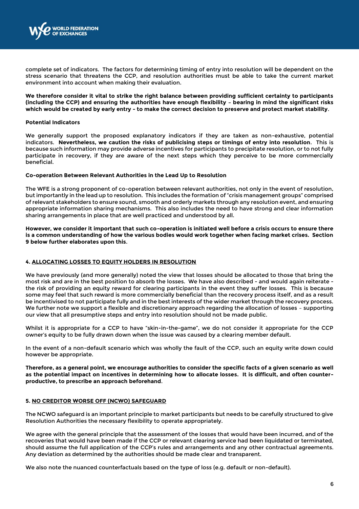

complete set of indicators. The factors for determining timing of entry into resolution will be dependent on the stress scenario that threatens the CCP, and resolution authorities must be able to take the current market environment into account when making their evaluation.

**We therefore consider it vital to strike the right balance between providing sufficient certainty to participants (including the CCP) and ensuring the authorities have enough flexibility – bearing in mind the significant risks which would be created by early entry - to make the correct decision to preserve and protect market stability**.

#### **Potential Indicators**

We generally support the proposed explanatory indicators if they are taken as non-exhaustive, potential indicators. **Nevertheless, we caution the risks of publicising steps or timings of entry into resolution**. This is because such information may provide adverse incentives for participants to precipitate resolution, or to not fully participate in recovery, if they are aware of the next steps which they perceive to be more commercially beneficial.

#### **Co-operation Between Relevant Authorities in the Lead Up to Resolution**

The WFE is a strong proponent of co-operation between relevant authorities, not only in the event of resolution, but importantly in the lead up to resolution. This includes the formation of "crisis management groups" comprised of relevant stakeholders to ensure sound, smooth and orderly markets through any resolution event, and ensuring appropriate information sharing mechanisms. This also includes the need to have strong and clear information sharing arrangements in place that are well practiced and understood by all.

**However, we consider it important that such co-operation is initiated well before a crisis occurs to ensure there is a common understanding of how the various bodies would work together when facing market crises. Section 9 below further elaborates upon this**.

### **4. ALLOCATING LOSSES TO EQUITY HOLDERS IN RESOLUTION**

We have previously (and more generally) noted the view that losses should be allocated to those that bring the most risk and are in the best position to absorb the losses. We have also described - and would again reiterate the risk of providing an equity reward for clearing participants in the event they suffer losses. This is because some may feel that such reward is more commercially beneficial than the recovery process itself, and as a result be incentivised to not participate fully and in the best interests of the wider market through the recovery process. We further note we support a flexible and discretionary approach regarding the allocation of losses – supporting our view that all presumptive steps and entry into resolution should not be made public.

Whilst it is appropriate for a CCP to have "skin-in-the-game", we do not consider it appropriate for the CCP owner's equity to be fully drawn down when the issue was caused by a clearing member default.

In the event of a non-default scenario which was wholly the fault of the CCP, such an equity write down could however be appropriate.

**Therefore, as a general point, we encourage authorities to consider the specific facts of a given scenario as well as the potential impact on incentives in determining how to allocate losses. It is difficult, and often counterproductive, to prescribe an approach beforehand**.

### **5. NO CREDITOR WORSE OFF (NCWO) SAFEGUARD**

The NCWO safeguard is an important principle to market participants but needs to be carefully structured to give Resolution Authorities the necessary flexibility to operate appropriately.

We agree with the general principle that the assessment of the losses that would have been incurred, and of the recoveries that would have been made if the CCP or relevant clearing service had been liquidated or terminated, should assume the full application of the CCP's rules and arrangements and any other contractual agreements. Any deviation as determined by the authorities should be made clear and transparent.

We also note the nuanced counterfactuals based on the type of loss (e.g. default or non-default).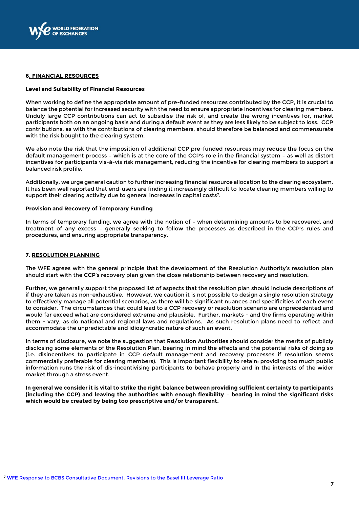

#### **6. FINANCIAL RESOURCES**

#### **Level and Suitability of Financial Resources**

When working to define the appropriate amount of pre-funded resources contributed by the CCP, it is crucial to balance the potential for increased security with the need to ensure appropriate incentives for clearing members. Unduly large CCP contributions can act to subsidise the risk of, and create the wrong incentives for, market participants both on an ongoing basis and during a default event as they are less likely to be subject to loss. CCP contributions, as with the contributions of clearing members, should therefore be balanced and commensurate with the risk bought to the clearing system.

We also note the risk that the imposition of additional CCP pre-funded resources may reduce the focus on the default management process – which is at the core of the CCP's role in the financial system – as well as distort incentives for participants vis-à-vis risk management, reducing the incentive for clearing members to support a balanced risk profile.

Additionally, we urge general caution to further increasing financial resource allocation to the clearing ecosystem. It has been well reported that end-users are finding it increasingly difficult to locate clearing members willing to support their clearing activity due to general increases in capital costs $^{\rm 7}$ .

### **Provision and Recovery of Temporary Funding**

In terms of temporary funding, we agree with the notion of – when determining amounts to be recovered, and treatment of any excess – generally seeking to follow the processes as described in the CCP's rules and procedures, and ensuring appropriate transparency.

#### **7. RESOLUTION PLANNING**

 $\overline{a}$ 

The WFE agrees with the general principle that the development of the Resolution Authority's resolution plan should start with the CCP's recovery plan given the close relationship between recovery and resolution.

Further, we generally support the proposed list of aspects that the resolution plan should include descriptions of if they are taken as non-exhaustive. However, we caution it is not possible to design a single resolution strategy to effectively manage all potential scenarios, as there will be significant nuances and specificities of each event to consider. The circumstances that could lead to a CCP recovery or resolution scenario are unprecedented and would far exceed what are considered extreme and plausible. Further, markets - and the firms operating within them - vary, as do national and regional laws and regulations. As such resolution plans need to reflect and accommodate the unpredictable and idiosyncratic nature of such an event.

In terms of disclosure, we note the suggestion that Resolution Authorities should consider the merits of publicly disclosing some elements of the Resolution Plan, bearing in mind the effects and the potential risks of doing so (i.e. disincentives to participate in CCP default management and recovery processes if resolution seems commercially preferable for clearing members). This is important flexibility to retain; providing too much public information runs the risk of dis-incentivising participants to behave properly and in the interests of the wider market through a stress event.

**In general we consider it is vital to strike the right balance between providing sufficient certainty to participants (including the CCP) and leaving the authorities with enough flexibility – bearing in mind the significant risks which would be created by being too prescriptive and/or transparent.**

<sup>7</sup> [WFE Response to BCBS Consultative Document: Revisions to the Basel III Leverage Ratio](http://www.world-exchanges.org/home/index.php/files/47/Recent%20Publications%202016/342/WFE%20Response%20to%20BCBS%20revised%20Leverage%20Ratio%20Framework%20Consultation%20-%206%20July%202016.pdf)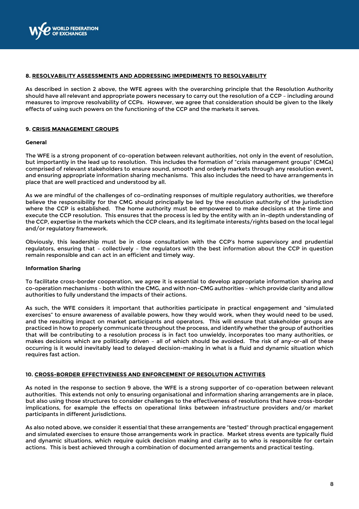

### **8. RESOLVABILITY ASSESSMENTS AND ADDRESSING IMPEDIMENTS TO RESOLVABILITY**

As described in section 2 above, the WFE agrees with the overarching principle that the Resolution Authority should have all relevant and appropriate powers necessary to carry out the resolution of a CCP – including around measures to improve resolvability of CCPs. However, we agree that consideration should be given to the likely effects of using such powers on the functioning of the CCP and the markets it serves.

#### **9. CRISIS MANAGEMENT GROUPS**

#### **General**

The WFE is a strong proponent of co-operation between relevant authorities, not only in the event of resolution, but importantly in the lead up to resolution. This includes the formation of "crisis management groups" (CMGs) comprised of relevant stakeholders to ensure sound, smooth and orderly markets through any resolution event, and ensuring appropriate information sharing mechanisms. This also includes the need to have arrangements in place that are well practiced and understood by all.

As we are mindful of the challenges of co-ordinating responses of multiple regulatory authorities, we therefore believe the responsibility for the CMG should principally be led by the resolution authority of the jurisdiction where the CCP is established. The home authority must be empowered to make decisions at the time and execute the CCP resolution. This ensures that the process is led by the entity with an in-depth understanding of the CCP, expertise in the markets which the CCP clears, and its legitimate interests/rights based on the local legal and/or regulatory framework.

Obviously, this leadership must be in close consultation with the CCP's home supervisory and prudential regulators, ensuring that – collectively – the regulators with the best information about the CCP in question remain responsible and can act in an efficient and timely way.

#### **Information Sharing**

To facilitate cross-border cooperation, we agree it is essential to develop appropriate information sharing and co-operation mechanisms – both within the CMG, and with non-CMG authorities – which provide clarity and allow authorities to fully understand the impacts of their actions.

As such, the WFE considers it important that authorities participate in practical engagement and "simulated exercises" to ensure awareness of available powers, how they would work, when they would need to be used, and the resulting impact on market participants and operators. This will ensure that stakeholder groups are practiced in how to properly communicate throughout the process, and identify whether the group of authorities that will be contributing to a resolution process is in fact too unwieldy, incorporates too many authorities, or makes decisions which are politically driven – all of which should be avoided. The risk of any-or-all of these occurring is it would inevitably lead to delayed decision-making in what is a fluid and dynamic situation which requires fast action.

### **10. CROSS-BORDER EFFECTIVENESS AND ENFORCEMENT OF RESOLUTION ACTIVITIES**

As noted in the response to section 9 above, the WFE is a strong supporter of co-operation between relevant authorities. This extends not only to ensuring organisational and information sharing arrangements are in place, but also using those structures to consider challenges to the effectiveness of resolutions that have cross-border implications, for example the effects on operational links between infrastructure providers and/or market participants in different jurisdictions.

As also noted above, we consider it essential that these arrangements are "tested" through practical engagement and simulated exercises to ensure those arrangements work in practice. Market stress events are typically fluid and dynamic situations, which require quick decision making and clarity as to who is responsible for certain actions. This is best achieved through a combination of documented arrangements and practical testing.